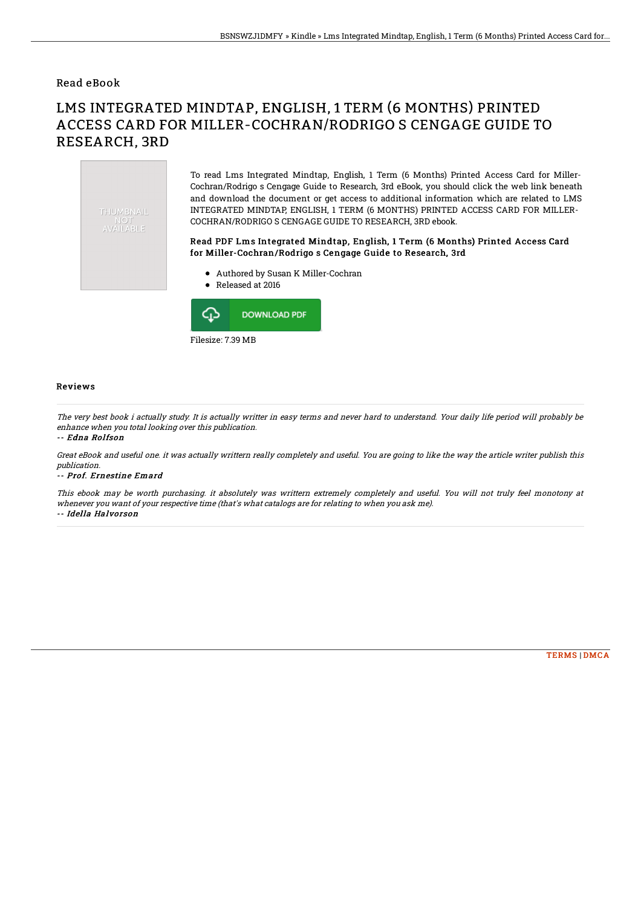## Read eBook

# LMS INTEGRATED MINDTAP, ENGLISH, 1 TERM (6 MONTHS) PRINTED ACCESS CARD FOR MILLER-COCHRAN/RODRIGO S CENGAGE GUIDE TO RESEARCH, 3RD

THUMBNAIL NUT<br>AVAILABLE

To read Lms Integrated Mindtap, English, 1 Term (6 Months) Printed Access Card for Miller-Cochran/Rodrigo s Cengage Guide to Research, 3rd eBook, you should click the web link beneath and download the document or get access to additional information which are related to LMS INTEGRATED MINDTAP, ENGLISH, 1 TERM (6 MONTHS) PRINTED ACCESS CARD FOR MILLER-COCHRAN/RODRIGO S CENGAGE GUIDE TO RESEARCH, 3RD ebook.

### Read PDF Lms Integrated Mindtap, English, 1 Term (6 Months) Printed Access Card for Miller-Cochran/Rodrigo s Cengage Guide to Research, 3rd

- Authored by Susan K Miller-Cochran
- Released at 2016



#### Reviews

The very best book i actually study. It is actually writter in easy terms and never hard to understand. Your daily life period will probably be enhance when you total looking over this publication.

#### -- Edna Rolfson

Great eBook and useful one. it was actually writtern really completely and useful. You are going to like the way the article writer publish this publication.

#### -- Prof. Ernestine Emard

This ebook may be worth purchasing. it absolutely was writtern extremely completely and useful. You will not truly feel monotony at whenever you want of your respective time (that's what catalogs are for relating to when you ask me). -- Idella Halvorson